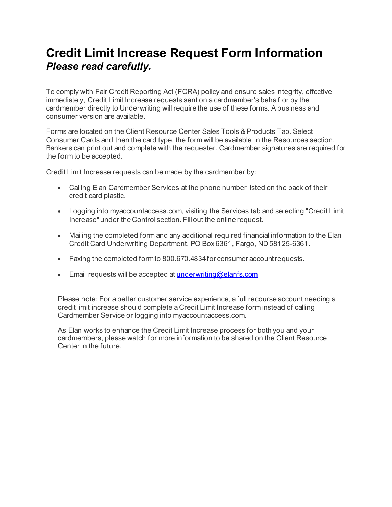## **Credit Limit Increase Request Form Information** *Please read carefully.*

To comply with Fair Credit Reporting Act (FCRA) policy and ensure sales integrity, effective immediately, Credit Limit Increase requests sent on a cardmember's behalf or by the cardmember directly to Underwriting will require the use of these forms. A business and consumer version are available.

Forms are located on the Client Resource Center Sales Tools & Products Tab. Select Consumer Cards and then the card type, the form will be available in the Resources section. Bankers can print out and complete with the requester. Cardmember signatures are required for the form to be accepted.

Credit Limit Increase requests can be made by the cardmember by:

- Calling Elan Cardmember Services at the phone number listed on the back of their credit card plastic.
- Logging into myaccountaccess.com, visiting the Services tab and selecting "Credit Limit Increase" under the Control section. Fill out the online request.
- Mailing the completed form and any additional required financial information to the Elan Credit Card Underwriting Department, PO Box 6361, Fargo, ND58125-6361.
- Faxing the completed formto 800.670.4834for consumer accountrequests.
- Email requests will be accepted at *underwriting@elanfs.com*

Please note: For a better customer service experience, a full recourse account needing a credit limit increase should complete a Credit Limit Increase form instead of calling Cardmember Service or logging into myaccountaccess.com.

As Elan works to enhance the Credit Limit Increase process for both you and your cardmembers, please watch for more information to be shared on the Client Resource Center in the future.